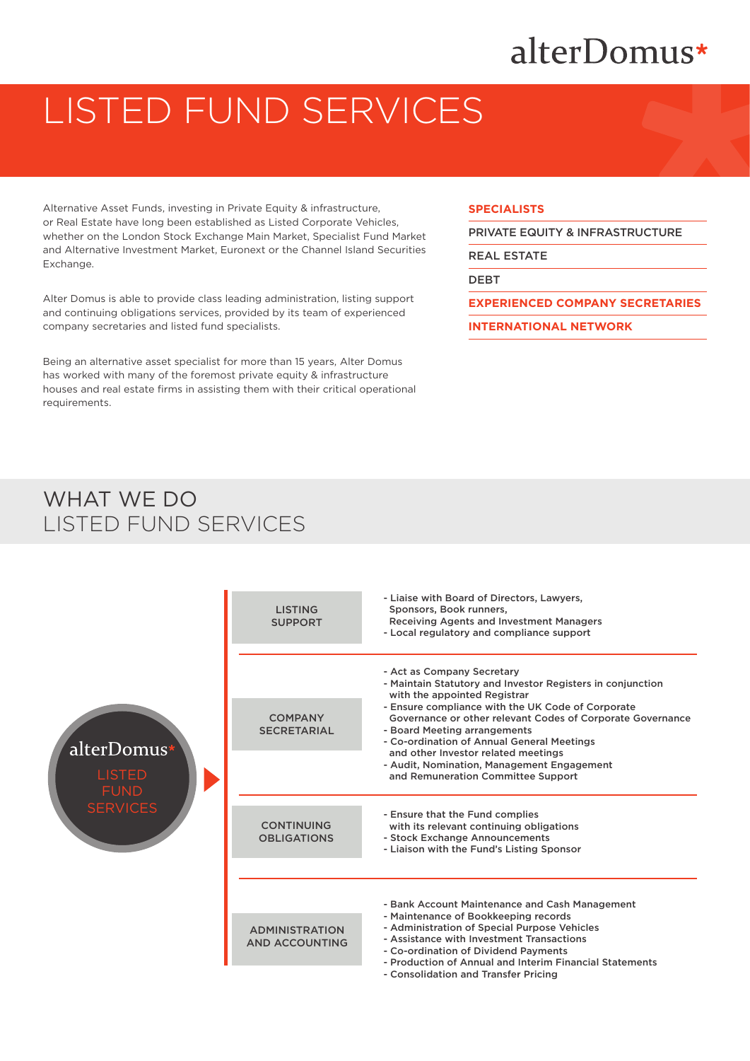# alterDomus\*

# LISTED FUND SERVICES

Alternative Asset Funds, investing in Private Equity & infrastructure, or Real Estate have long been established as Listed Corporate Vehicles, whether on the London Stock Exchange Main Market, Specialist Fund Market and Alternative Investment Market, Euronext or the Channel Island Securities Exchange.

Alter Domus is able to provide class leading administration, listing support and continuing obligations services, provided by its team of experienced company secretaries and listed fund specialists.

Being an alternative asset specialist for more than 15 years, Alter Domus has worked with many of the foremost private equity & infrastructure houses and real estate firms in assisting them with their critical operational requirements.

#### **SPECIALISTS**

PRIVATE EQUITY & INFRASTRUCTURE

REAL ESTATE

DEBT

**EXPERIENCED COMPANY SECRETARIES**

**INTERNATIONAL NETWORK**

## WHAT WE DO LISTED FUND SERVICES



- Consolidation and Transfer Pricing